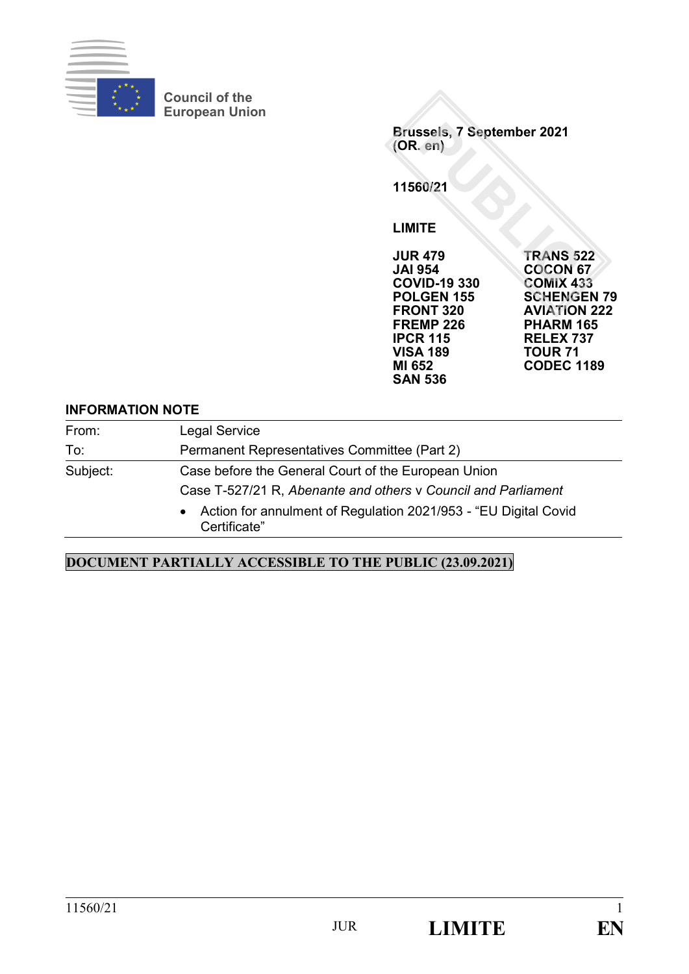

**Council of the European Union**

**Brussels, 7 September 2021 (OR. en) 11560/21 LIMITE JUR 479 TRANS 522 COCON 67<br>COMIX 433 COVID-19 330<br>POLGEN 155 POLGEN 155 SCHENGEN 79**

**FREMP 226**<br>**IPCR 115** 

**SAN 536**

## **AVIATION 222<br>PHARM 165 IPCR 115 RELEX 737 VISA 189 TOUR 71 MI 652 CODEC 1189**

## **INFORMATION NOTE**

| From:    | <b>Legal Service</b>                                                              |
|----------|-----------------------------------------------------------------------------------|
| To:      | Permanent Representatives Committee (Part 2)                                      |
| Subject: | Case before the General Court of the European Union                               |
|          | Case T-527/21 R, Abenante and others v Council and Parliament                     |
|          | • Action for annulment of Regulation 2021/953 - "EU Digital Covid<br>Certificate" |

## **DOCUMENT PARTIALLY ACCESSIBLE TO THE PUBLIC (23.09.2021)**